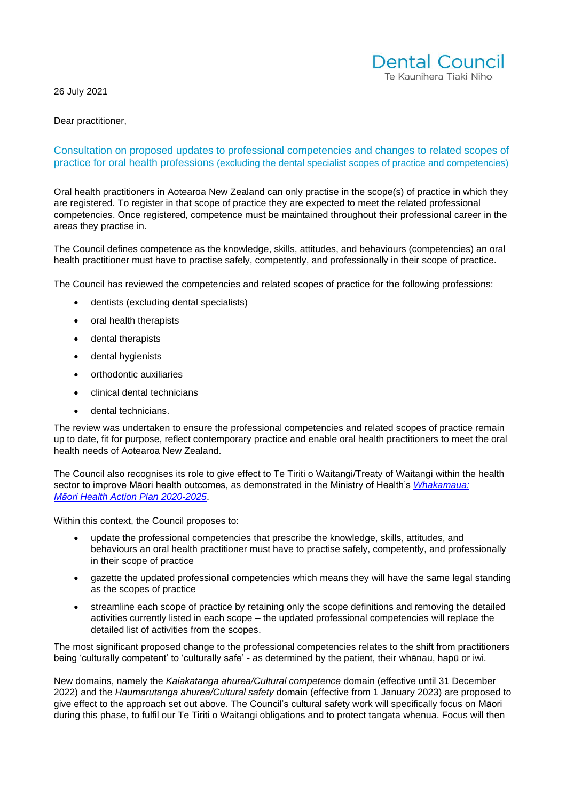26 July 2021



Dear practitioner,

#### Consultation on proposed updates to professional competencies and changes to related scopes of practice for oral health professions (excluding the dental specialist scopes of practice and competencies)

Oral health practitioners in Aotearoa New Zealand can only practise in the scope(s) of practice in which they are registered. To register in that scope of practice they are expected to meet the related professional competencies. Once registered, competence must be maintained throughout their professional career in the areas they practise in.

The Council defines competence as the knowledge, skills, attitudes, and behaviours (competencies) an oral health practitioner must have to practise safely, competently, and professionally in their scope of practice.

The Council has reviewed the competencies and related scopes of practice for the following professions:

- dentists (excluding dental specialists)
- oral health therapists
- dental therapists
- dental hygienists
- orthodontic auxiliaries
- clinical dental technicians
- dental technicians.

The review was undertaken to ensure the professional competencies and related scopes of practice remain up to date, fit for purpose, reflect contemporary practice and enable oral health practitioners to meet the oral health needs of Aotearoa New Zealand.

The Council also recognises its role to give effect to Te Tiriti o Waitangi/Treaty of Waitangi within the health sector to improve Māori health outcomes, as demonstrated in the Ministry of Health's *[Whakamaua:](https://www.health.govt.nz/our-work/populations/maori-health/whakamaua-maori-health-action-plan-2020-2025)  Māori Health [Action Plan 2020-2025](https://www.health.govt.nz/our-work/populations/maori-health/whakamaua-maori-health-action-plan-2020-2025)*.

Within this context, the Council proposes to:

- update the professional competencies that prescribe the knowledge, skills, attitudes, and behaviours an oral health practitioner must have to practise safely, competently, and professionally in their scope of practice
- gazette the updated professional competencies which means they will have the same legal standing as the scopes of practice
- streamline each scope of practice by retaining only the scope definitions and removing the detailed activities currently listed in each scope – the updated professional competencies will replace the detailed list of activities from the scopes.

The most significant proposed change to the professional competencies relates to the shift from practitioners being 'culturally competent' to 'culturally safe' - as determined by the patient, their whānau, hapū or iwi.

New domains, namely the *Kaiakatanga ahurea/Cultural competence* domain (effective until 31 December 2022) and the *Haumarutanga ahurea/Cultural safety* domain (effective from 1 January 2023) are proposed to give effect to the approach set out above. The Council's cultural safety work will specifically focus on Māori during this phase, to fulfil our Te Tiriti o Waitangi obligations and to protect tangata whenua. Focus will then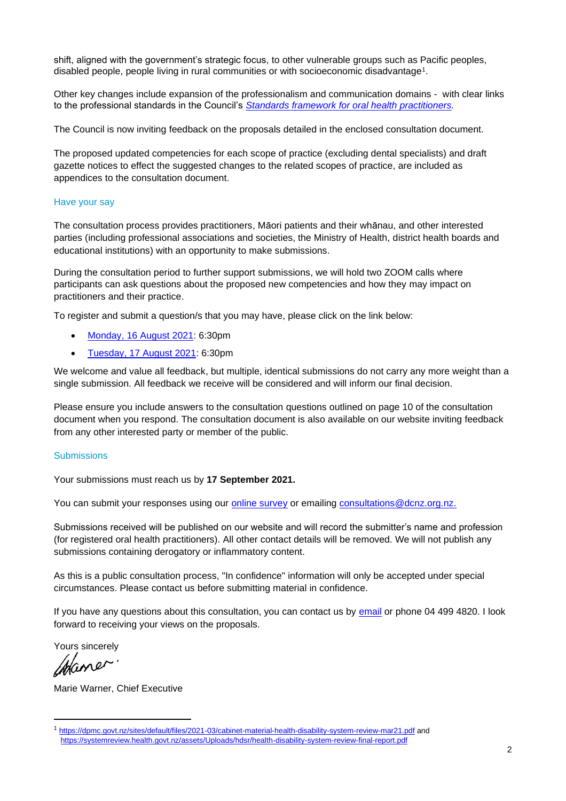shift, aligned with the government's strategic focus, to other vulnerable groups such as Pacific peoples, disabled people, people living in rural communities or with socioeconomic disadvantage $^{\text{1}}$ .

Other key changes include expansion of the professionalism and communication domains - with clear links to the professional standards in the Council's *[Standards framework for oral health practitioners.](https://dcnz.org.nz/i-practise-in-new-zealand/standards-framework/)*

The Council is now inviting feedback on the proposals detailed in the enclosed consultation document.

The proposed updated competencies for each scope of practice (excluding dental specialists) and draft gazette notices to effect the suggested changes to the related scopes of practice, are included as appendices to the consultation document.

#### Have your say

The consultation process provides practitioners, Māori patients and their whānau, and other interested parties (including professional associations and societies, the Ministry of Health, district health boards and educational institutions) with an opportunity to make submissions.

During the consultation period to further support submissions, we will hold two ZOOM calls where participants can ask questions about the proposed new competencies and how they may impact on practitioners and their practice.

To register and submit a question/s that you may have, please click on the link below:

- [Monday, 16 August 2021:](https://www.surveymonkey.com/r/LY9KQJP) 6:30pm
- [Tuesday, 17 August 2021:](https://www.surveymonkey.com/r/LY9KQJP) 6:30pm

We welcome and value all feedback, but multiple, identical submissions do not carry any more weight than a single submission. All feedback we receive will be considered and will inform our final decision.

Please ensure you include answers to the consultation questions outlined on page 10 of the consultation document when you respond. The consultation document is also available on our website inviting feedback from any other interested party or member of the public.

#### **Submissions**

Your submissions must reach us by **17 September 2021.**

You can submit your responses using our [online survey](https://www.surveymonkey.com/r/LYL2JR9) or emailing [consultations@dcnz.org.nz.](mailto:consultations@dcnz.org.nz)

Submissions received will be published on our website and will record the submitter's name and profession (for registered oral health practitioners). All other contact details will be removed. We will not publish any submissions containing derogatory or inflammatory content.

As this is a public consultation process, "In confidence" information will only be accepted under special circumstances. Please contact us before submitting material in confidence.

If you have any questions about this consultation, you can contact us by [email](mailto:consultations@dcnz.org,nz) or phone 04 499 4820. I look forward to receiving your views on the proposals.

Yours sincerely

Hane

Marie Warner, Chief Executive

<sup>1</sup> <https://dpmc.govt.nz/sites/default/files/2021-03/cabinet-material-health-disability-system-review-mar21.pdf> and <https://systemreview.health.govt.nz/assets/Uploads/hdsr/health-disability-system-review-final-report.pdf>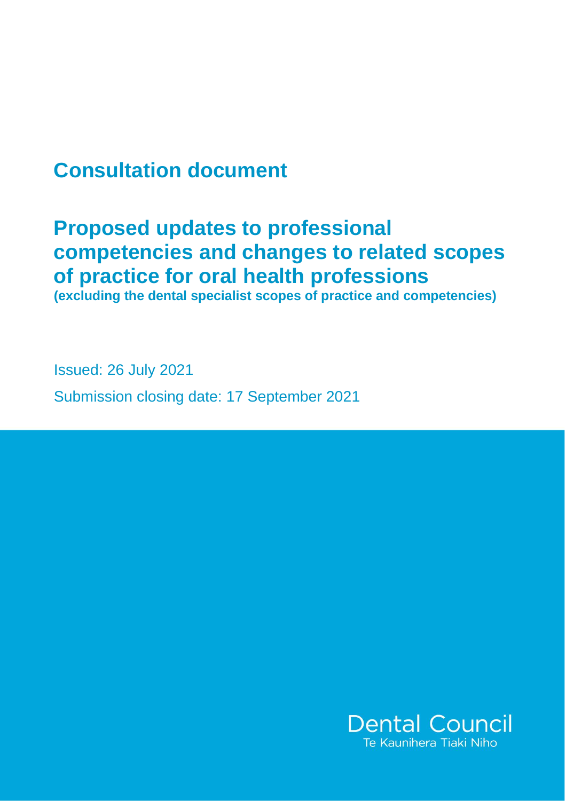# **Consultation document**

# **Proposed updates to professional competencies and changes to related scopes of practice for oral health professions**

**(excluding the dental specialist scopes of practice and competencies)**

Issued: 26 July 2021 Submission closing date: 17 September 2021

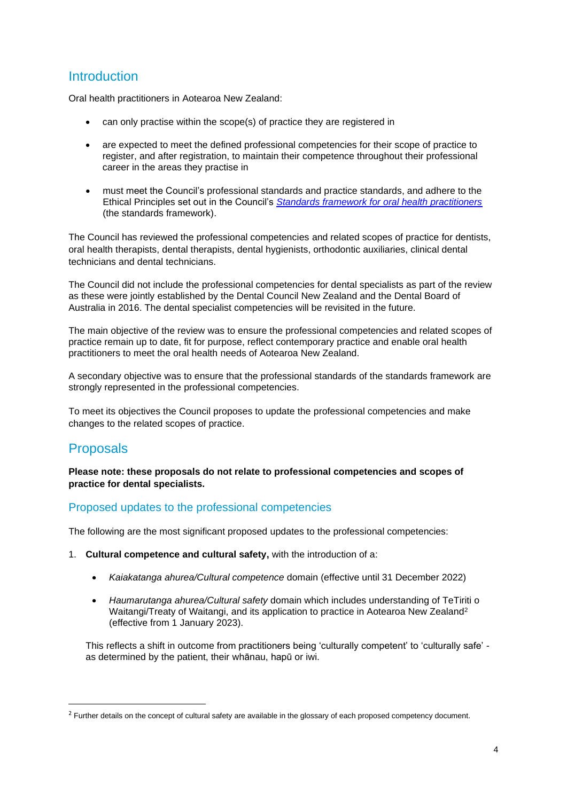## Introduction

Oral health practitioners in Aotearoa New Zealand:

- can only practise within the scope(s) of practice they are registered in
- are expected to meet the defined professional competencies for their scope of practice to register, and after registration, to maintain their competence throughout their professional career in the areas they practise in
- must meet the Council's professional standards and practice standards, and adhere to the Ethical Principles set out in the Council's *[Standards framework for oral health practitioners](https://www.dcnz.org.nz/assets/Uploads/Practice-standards/Standards-Framework-for-oral-health-practitioners.pdf)* (the standards framework).

The Council has reviewed the professional competencies and related scopes of practice for dentists, oral health therapists, dental therapists, dental hygienists, orthodontic auxiliaries, clinical dental technicians and dental technicians.

The Council did not include the professional competencies for dental specialists as part of the review as these were jointly established by the Dental Council New Zealand and the Dental Board of Australia in 2016. The dental specialist competencies will be revisited in the future.

The main objective of the review was to ensure the professional competencies and related scopes of practice remain up to date, fit for purpose, reflect contemporary practice and enable oral health practitioners to meet the oral health needs of Aotearoa New Zealand.

A secondary objective was to ensure that the professional standards of the standards framework are strongly represented in the professional competencies.

To meet its objectives the Council proposes to update the professional competencies and make changes to the related scopes of practice.

## Proposals

**Please note: these proposals do not relate to professional competencies and scopes of practice for dental specialists.**

#### Proposed updates to the professional competencies

The following are the most significant proposed updates to the professional competencies:

- 1. **Cultural competence and cultural safety,** with the introduction of a:
	- *Kaiakatanga ahurea/Cultural competence* domain (effective until 31 December 2022)
	- *Haumarutanga ahurea/Cultural safety* domain which includes understanding of TeTiriti o Waitangi/Treaty of Waitangi, and its application to practice in Aotearoa New Zealand<sup>2</sup> (effective from 1 January 2023).

This reflects a shift in outcome from practitioners being 'culturally competent' to 'culturally safe' as determined by the patient, their whānau, hapū or iwi.

<sup>&</sup>lt;sup>2</sup> Further details on the concept of cultural safety are available in the glossary of each proposed competency document.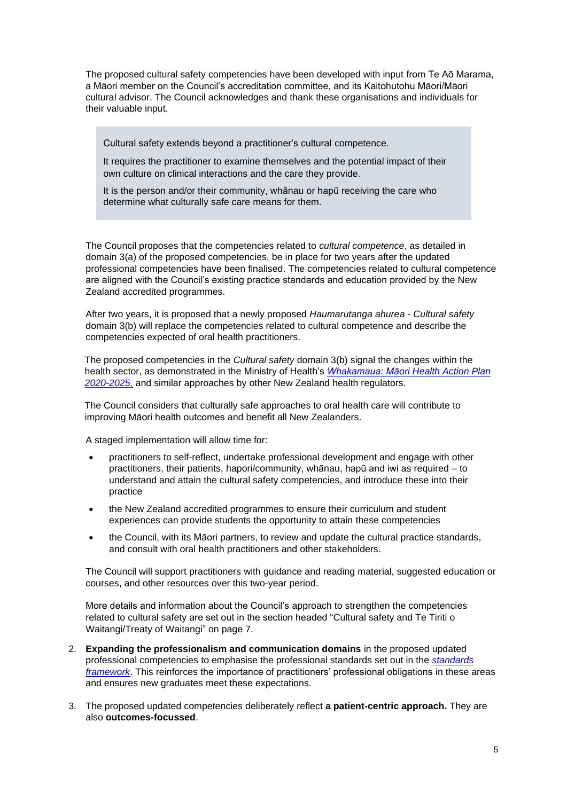The proposed cultural safety competencies have been developed with input from Te Aō Marama, a Māori member on the Council's accreditation committee, and its Kaitohutohu Māori/Māori cultural advisor. The Council acknowledges and thank these organisations and individuals for their valuable input.

Cultural safety extends beyond a practitioner's cultural competence.

It requires the practitioner to examine themselves and the potential impact of their own culture on clinical interactions and the care they provide.

It is the person and/or their community, whānau or hapū receiving the care who determine what culturally safe care means for them.

The Council proposes that the competencies related to *cultural competence*, as detailed in domain 3(a) of the proposed competencies, be in place for two years after the updated professional competencies have been finalised. The competencies related to cultural competence are aligned with the Council's existing practice standards and education provided by the New Zealand accredited programmes.

After two years, it is proposed that a newly proposed *Haumarutanga ahurea* - *Cultural safety*  domain 3(b) will replace the competencies related to cultural competence and describe the competencies expected of oral health practitioners.

The proposed competencies in the *Cultural safety* domain 3(b) signal the changes within the health sector, as demonstrated in the Ministry of Health's *[Whakamaua: Māori](https://www.health.govt.nz/our-work/populations/maori-health/whakamaua-maori-health-action-plan-2020-2025) Health Action Plan [2020-2025,](https://www.health.govt.nz/our-work/populations/maori-health/whakamaua-maori-health-action-plan-2020-2025)* and similar approaches by other New Zealand health regulators*.*

The Council considers that culturally safe approaches to oral health care will contribute to improving Māori health outcomes and benefit all New Zealanders.

A staged implementation will allow time for:

- practitioners to self-reflect, undertake professional development and engage with other practitioners, their patients, hapori/community, whānau, hapū and iwi as required – to understand and attain the cultural safety competencies, and introduce these into their practice
- the New Zealand accredited programmes to ensure their curriculum and student experiences can provide students the opportunity to attain these competencies
- the Council, with its Māori partners, to review and update the cultural practice standards, and consult with oral health practitioners and other stakeholders.

The Council will support practitioners with guidance and reading material, suggested education or courses, and other resources over this two-year period.

More details and information about the Council's approach to strengthen the competencies related to cultural safety are set out in the section headed "Cultural safety and Te Tiriti o Waitangi/Treaty of Waitangi" on page 7.

- 2. **Expanding the professionalism and communication domains** in the proposed updated professional competencies to emphasise the professional standards set out in the *[standards](https://www.dcnz.org.nz/assets/Uploads/Practice-standards/Standards-Framework-for-oral-health-practitioners.pdf)  [framework](https://www.dcnz.org.nz/assets/Uploads/Practice-standards/Standards-Framework-for-oral-health-practitioners.pdf)*. This reinforces the importance of practitioners' professional obligations in these areas and ensures new graduates meet these expectations.
- 3. The proposed updated competencies deliberately reflect **a patient-centric approach.** They are also **outcomes-focussed**.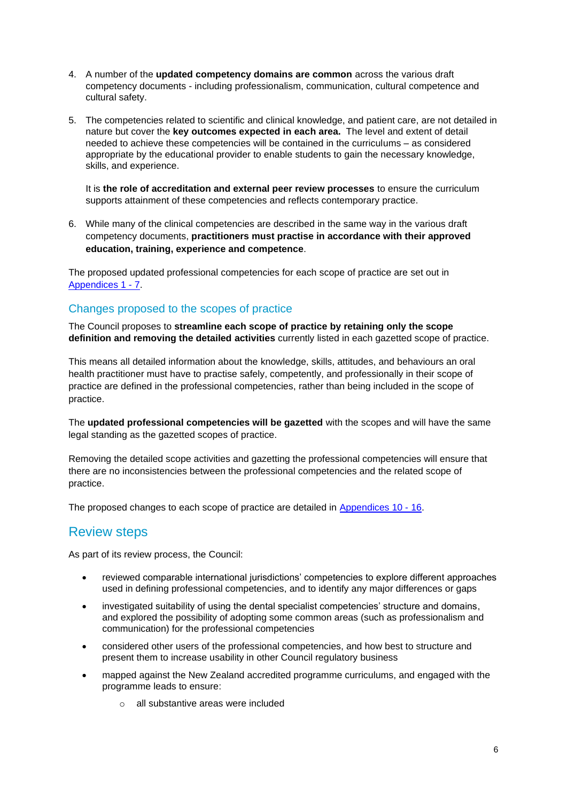- 4. A number of the **updated competency domains are common** across the various draft competency documents - including professionalism, communication, cultural competence and cultural safety.
- 5. The competencies related to scientific and clinical knowledge, and patient care, are not detailed in nature but cover the **key outcomes expected in each area.** The level and extent of detail needed to achieve these competencies will be contained in the curriculums – as considered appropriate by the educational provider to enable students to gain the necessary knowledge, skills, and experience.

It is **the role of accreditation and external peer review processes** to ensure the curriculum supports attainment of these competencies and reflects contemporary practice.

6. While many of the clinical competencies are described in the same way in the various draft competency documents, **practitioners must practise in accordance with their approved education, training, experience and competence**.

The proposed updated professional competencies for each scope of practice are set out in [Appendices 1 -](https://dcnz.org.nz/resources-and-publications/publications/current-consultations/consultation-on-proposed-updates-to-professional-competencies-and-changes-to-related-scopes-of-practice/) 7.

### Changes proposed to the scopes of practice

The Council proposes to **streamline each scope of practice by retaining only the scope definition and removing the detailed activities** currently listed in each gazetted scope of practice.

This means all detailed information about the knowledge, skills, attitudes, and behaviours an oral health practitioner must have to practise safely, competently, and professionally in their scope of practice are defined in the professional competencies, rather than being included in the scope of practice.

The **updated professional competencies will be gazetted** with the scopes and will have the same legal standing as the gazetted scopes of practice.

Removing the detailed scope activities and gazetting the professional competencies will ensure that there are no inconsistencies between the professional competencies and the related scope of practice.

The proposed changes to each scope of practice are detailed in [Appendices 10 -](https://dcnz.org.nz/resources-and-publications/publications/current-consultations/consultation-on-proposed-updates-to-professional-competencies-and-changes-to-related-scopes-of-practice/) 16.

## Review steps

As part of its review process, the Council:

- reviewed comparable international jurisdictions' competencies to explore different approaches used in defining professional competencies, and to identify any major differences or gaps
- investigated suitability of using the dental specialist competencies' structure and domains, and explored the possibility of adopting some common areas (such as professionalism and communication) for the professional competencies
- considered other users of the professional competencies, and how best to structure and present them to increase usability in other Council regulatory business
- mapped against the New Zealand accredited programme curriculums, and engaged with the programme leads to ensure:
	- o all substantive areas were included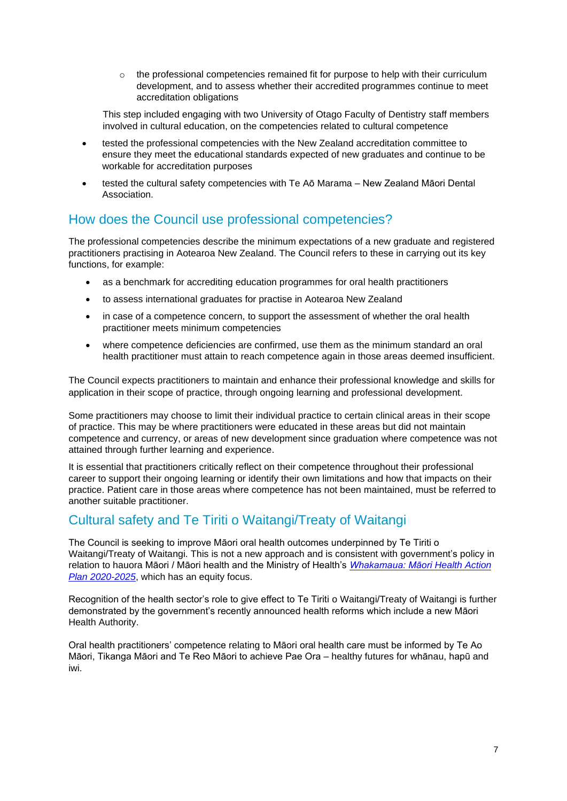$\circ$  the professional competencies remained fit for purpose to help with their curriculum development, and to assess whether their accredited programmes continue to meet accreditation obligations

This step included engaging with two University of Otago Faculty of Dentistry staff members involved in cultural education, on the competencies related to cultural competence

- tested the professional competencies with the New Zealand accreditation committee to ensure they meet the educational standards expected of new graduates and continue to be workable for accreditation purposes
- tested the cultural safety competencies with Te Aō Marama New Zealand Māori Dental Association.

## How does the Council use professional competencies?

The professional competencies describe the minimum expectations of a new graduate and registered practitioners practising in Aotearoa New Zealand. The Council refers to these in carrying out its key functions, for example:

- as a benchmark for accrediting education programmes for oral health practitioners
- to assess international graduates for practise in Aotearoa New Zealand
- in case of a competence concern, to support the assessment of whether the oral health practitioner meets minimum competencies
- where competence deficiencies are confirmed, use them as the minimum standard an oral health practitioner must attain to reach competence again in those areas deemed insufficient.

The Council expects practitioners to maintain and enhance their professional knowledge and skills for application in their scope of practice, through ongoing learning and professional development.

Some practitioners may choose to limit their individual practice to certain clinical areas in their scope of practice. This may be where practitioners were educated in these areas but did not maintain competence and currency, or areas of new development since graduation where competence was not attained through further learning and experience.

It is essential that practitioners critically reflect on their competence throughout their professional career to support their ongoing learning or identify their own limitations and how that impacts on their practice. Patient care in those areas where competence has not been maintained, must be referred to another suitable practitioner.

## Cultural safety and Te Tiriti o Waitangi/Treaty of Waitangi

The Council is seeking to improve Māori oral health outcomes underpinned by Te Tiriti o Waitangi/Treaty of Waitangi. This is not a new approach and is consistent with government's policy in relation to hauora Māori / Māori health and the Ministry of Health's *[Whakamaua: Māori](https://www.health.govt.nz/publication/whakamaua-maori-health-action-plan-2020-2025) Health Action [Plan 2020-2025](https://www.health.govt.nz/publication/whakamaua-maori-health-action-plan-2020-2025)*, which has an equity focus.

Recognition of the health sector's role to give effect to Te Tiriti o Waitangi/Treaty of Waitangi is further demonstrated by the government's recently announced health reforms which include a new Māori Health Authority.

Oral health practitioners' competence relating to Māori oral health care must be informed by Te Ao Māori, Tikanga Māori and Te Reo Māori to achieve Pae Ora – healthy futures for whānau, hapū and iwi.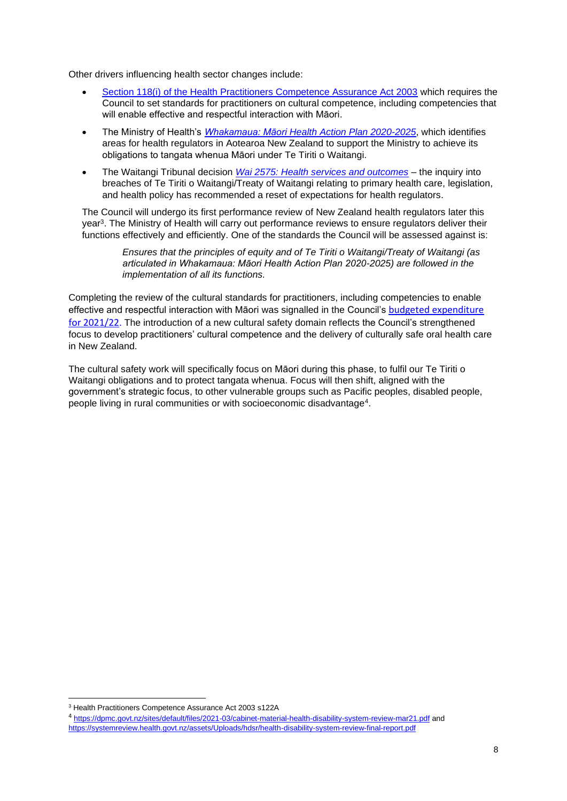Other drivers influencing health sector changes include:

- Section 118(i) [of the Health Practitioners Competence Assurance Act 2003](https://www.legislation.govt.nz/act/public/2003/0048/latest/whole.html#DLM204334) which requires the Council to set standards for practitioners on cultural competence, including competencies that will enable effective and respectful interaction with Māori.
- The Ministry of Health's *Whakamaua: Māori Health [Action Plan 2020-2025](https://www.health.govt.nz/our-work/populations/maori-health/whakamaua-maori-health-action-plan-2020-2025)*, which identifies areas for health regulators in Aotearoa New Zealand to support the Ministry to achieve its obligations to tangata whenua Māori under Te Tiriti o Waitangi.
- The Waitangi Tribunal decision *[Wai 2575: Health services and outcomes](https://waitangitribunal.govt.nz/inquiries/kaupapa-inquiries/health-services-and-outcomes-inquiry/)* the inquiry into breaches of Te Tiriti o Waitangi/Treaty of Waitangi relating to primary health care, legislation, and health policy has recommended a reset of expectations for health regulators.

The Council will undergo its first performance review of New Zealand health regulators later this year<sup>3</sup> . The Ministry of Health will carry out performance reviews to ensure regulators deliver their functions effectively and efficiently. One of the standards the Council will be assessed against is:

> *Ensures that the principles of equity and of Te Tiriti o Waitangi/Treaty of Waitangi (as articulated in Whakamaua: Māori Health Action Plan 2020-2025) are followed in the implementation of all its functions.*

Completing the review of the cultural standards for practitioners, including competencies to enable effective and respectful interaction with Māori was signalled in the Council's [budgeted expenditure](https://dcnz.org.nz/assets/Uploads/Consultations/2020/2021-2022-Budget-fees-and-costs-allocation/Proposed-APC-fees-Consultation-2021-22-issued-1-Dec-2020.pdf)  [for 2021/22.](https://dcnz.org.nz/assets/Uploads/Consultations/2020/2021-2022-Budget-fees-and-costs-allocation/Proposed-APC-fees-Consultation-2021-22-issued-1-Dec-2020.pdf) The introduction of a new cultural safety domain reflects the Council's strengthened focus to develop practitioners' cultural competence and the delivery of culturally safe oral health care in New Zealand.

The cultural safety work will specifically focus on Māori during this phase, to fulfil our Te Tiriti o Waitangi obligations and to protect tangata whenua. Focus will then shift, aligned with the government's strategic focus, to other vulnerable groups such as Pacific peoples, disabled people, people living in rural communities or with socioeconomic disadvantage<sup>4</sup>.

<sup>3</sup> Health Practitioners Competence Assurance Act 2003 s122A

<sup>4</sup> <https://dpmc.govt.nz/sites/default/files/2021-03/cabinet-material-health-disability-system-review-mar21.pdf> and <https://systemreview.health.govt.nz/assets/Uploads/hdsr/health-disability-system-review-final-report.pdf>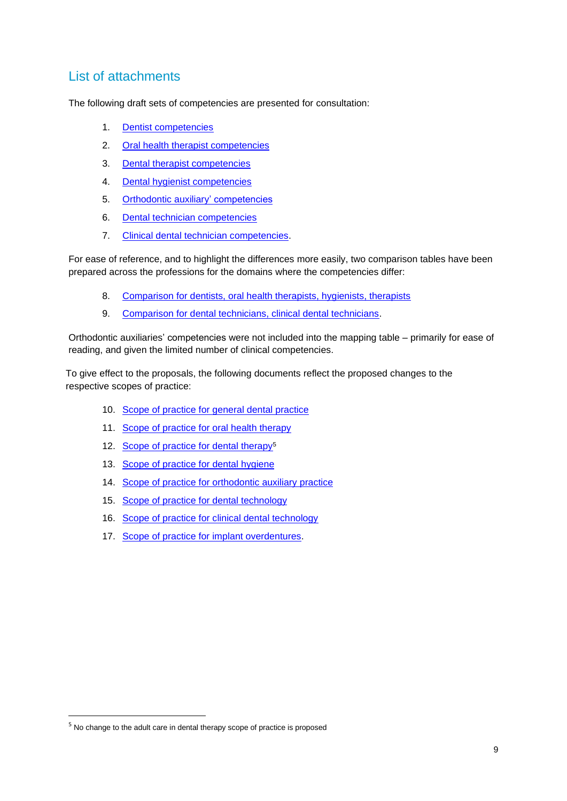# List of attachments

The following draft sets of competencies are presented for consultation:

- 1. [Dentist competencies](https://dcnz.org.nz/assets/Uploads/Consultations/2021/Competencies/Appendix-1-Dentist-competencies-consultation.pdf)
- 2. [Oral health therapist competencies](https://dcnz.org.nz/assets/Uploads/Consultations/2021/Competencies/Appendix-2-Oral-health-therapist-competencies-consultation.pdf)
- 3. Dental [therapist competencies](https://dcnz.org.nz/assets/Uploads/Consultations/2021/Competencies/Appendix-3-Dental-therapist-competencies-consultation.pdf)
- 4. [Dental hygienist competencies](https://dcnz.org.nz/assets/Uploads/Consultations/2021/Competencies/Appendix-4-Dental-hygienist-competencies-consultation.pdf)
- 5. [Orthodontic auxiliary' competencies](https://dcnz.org.nz/assets/Uploads/Consultations/2021/Competencies/Appendix-5-Orthodontic-auxiliary-competencies-consultation.pdf)
- 6. [Dental technician competencies](https://dcnz.org.nz/assets/Uploads/Consultations/2021/Competencies/Appendix-6-Dental-technician-competencies-consultation.pdf)
- 7. [Clinical dental technician competencies.](https://dcnz.org.nz/assets/Uploads/Consultations/2021/Competencies/Appendix-7-Clinical-dental-technician-competencies-consultation.pdf)

For ease of reference, and to highlight the differences more easily, two comparison tables have been prepared across the professions for the domains where the competencies differ:

- 8. [Comparison for dentists, oral health therapists, hygienists, therapists](https://dcnz.org.nz/assets/Uploads/Consultations/2021/Competencies/Appendix-8-Comparison-clinical-care-DOHTDTDH-consultation.pdf)
- 9. [Comparison for dental technicians, clinical dental technicians.](https://dcnz.org.nz/assets/Uploads/Consultations/2021/Competencies/Appendix-9-Comparison-DTCDT.pdf)

Orthodontic auxiliaries' competencies were not included into the mapping table – primarily for ease of reading, and given the limited number of clinical competencies.

To give effect to the proposals, the following documents reflect the proposed changes to the respective scopes of practice:

- 10. Scope of practice [for general dental practice](https://dcnz.org.nz/assets/Uploads/Consultations/2021/Competencies/Appendix-10-SOP-general-dental-practice.pdf)
- 11. [Scope of practice for oral health therapy](https://dcnz.org.nz/assets/Uploads/Consultations/2021/Competencies/Appendix-11-SOP-oral-health-therapy.pdf)
- 12. [Scope of practice for dental therapy](https://dcnz.org.nz/assets/Uploads/Consultations/2021/Competencies/Appendix-12-SOP-dental-therapy.pdf)<sup>5</sup>
- 13. [Scope of practice](https://dcnz.org.nz/assets/Uploads/Consultations/2021/Competencies/Appendix-13-SOP-dental-hygiene.pdf) for dental hygiene
- 14. [Scope of practice](https://dcnz.org.nz/assets/Uploads/Consultations/2021/Competencies/Appendix-14-SOP-orthodontic-auxiliary.pdf) for orthodontic auxiliary practice
- 15. Scope of practice [for dental technology](https://dcnz.org.nz/assets/Uploads/Consultations/2021/Competencies/Appendix-15-SOP-dental-technology.pdf)
- 16. Scope of practice [for clinical dental technology](https://dcnz.org.nz/assets/Uploads/Consultations/2021/Competencies/Appendix-16-SOP-clinical-dental-technology.pdf)
- 17. [Scope of practice for implant overdentures.](https://dcnz.org.nz/assets/Uploads/Consultations/2021/Competencies/Appendix-17-SOP-implant-overdentures-clinical-dental-technology.pdf)

<sup>&</sup>lt;sup>5</sup> No change to the adult care in dental therapy scope of practice is proposed